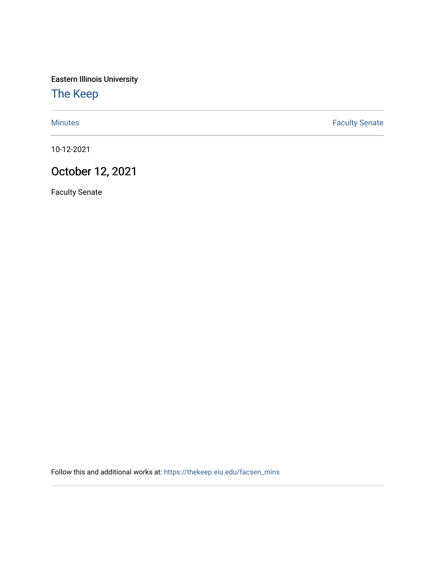Eastern Illinois University

## [The Keep](https://thekeep.eiu.edu/)

[Minutes](https://thekeep.eiu.edu/facsen_mins) **Faculty Senate** 

10-12-2021

## October 12, 2021

Faculty Senate

Follow this and additional works at: [https://thekeep.eiu.edu/facsen\\_mins](https://thekeep.eiu.edu/facsen_mins?utm_source=thekeep.eiu.edu%2Ffacsen_mins%2F1154&utm_medium=PDF&utm_campaign=PDFCoverPages)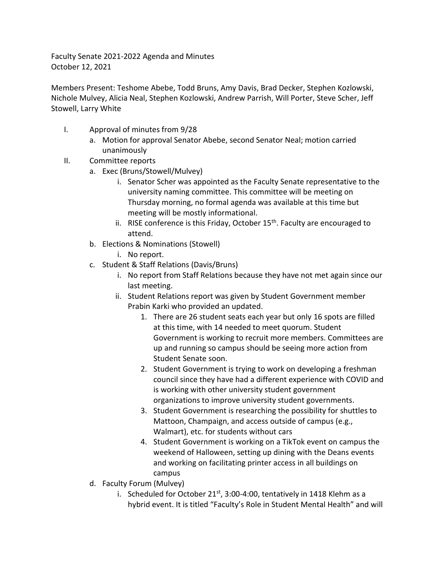Faculty Senate 2021-2022 Agenda and Minutes October 12, 2021

Members Present: Teshome Abebe, Todd Bruns, Amy Davis, Brad Decker, Stephen Kozlowski, Nichole Mulvey, Alicia Neal, Stephen Kozlowski, Andrew Parrish, Will Porter, Steve Scher, Jeff Stowell, Larry White

- I. Approval of minutes from 9/28
	- a. Motion for approval Senator Abebe, second Senator Neal; motion carried unanimously
- II. Committee reports
	- a. Exec (Bruns/Stowell/Mulvey)
		- i. Senator Scher was appointed as the Faculty Senate representative to the university naming committee. This committee will be meeting on Thursday morning, no formal agenda was available at this time but meeting will be mostly informational.
		- ii. RISE conference is this Friday, October  $15<sup>th</sup>$ . Faculty are encouraged to attend.
	- b. Elections & Nominations (Stowell)
		- i. No report.
	- c. Student & Staff Relations (Davis/Bruns)
		- i. No report from Staff Relations because they have not met again since our last meeting.
		- ii. Student Relations report was given by Student Government member Prabin Karki who provided an updated.
			- 1. There are 26 student seats each year but only 16 spots are filled at this time, with 14 needed to meet quorum. Student Government is working to recruit more members. Committees are up and running so campus should be seeing more action from Student Senate soon.
			- 2. Student Government is trying to work on developing a freshman council since they have had a different experience with COVID and is working with other university student government organizations to improve university student governments.
			- 3. Student Government is researching the possibility for shuttles to Mattoon, Champaign, and access outside of campus (e.g., Walmart), etc. for students without cars
			- 4. Student Government is working on a TikTok event on campus the weekend of Halloween, setting up dining with the Deans events and working on facilitating printer access in all buildings on campus
	- d. Faculty Forum (Mulvey)
		- i. Scheduled for October 21st, 3:00-4:00, tentatively in 1418 Klehm as a hybrid event. It is titled "Faculty's Role in Student Mental Health" and will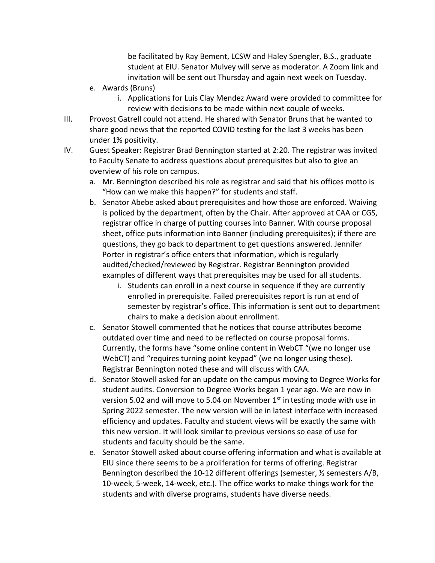be facilitated by Ray Bement, LCSW and Haley Spengler, B.S., graduate student at EIU. Senator Mulvey will serve as moderator. A Zoom link and invitation will be sent out Thursday and again next week on Tuesday.

- e. Awards (Bruns)
	- i. Applications for Luis Clay Mendez Award were provided to committee for review with decisions to be made within next couple of weeks.
- III. Provost Gatrell could not attend. He shared with Senator Bruns that he wanted to share good news that the reported COVID testing for the last 3 weeks has been under 1% positivity.
- IV. Guest Speaker: Registrar Brad Bennington started at 2:20. The registrar was invited to Faculty Senate to address questions about prerequisites but also to give an overview of his role on campus.
	- a. Mr. Bennington described his role as registrar and said that his offices motto is "How can we make this happen?" for students and staff.
	- b. Senator Abebe asked about prerequisites and how those are enforced. Waiving is policed by the department, often by the Chair. After approved at CAA or CGS, registrar office in charge of putting courses into Banner. With course proposal sheet, office puts information into Banner (including prerequisites); if there are questions, they go back to department to get questions answered. Jennifer Porter in registrar's office enters that information, which is regularly audited/checked/reviewed by Registrar. Registrar Bennington provided examples of different ways that prerequisites may be used for all students.
		- i. Students can enroll in a next course in sequence if they are currently enrolled in prerequisite. Failed prerequisites report is run at end of semester by registrar's office. This information is sent out to department chairs to make a decision about enrollment.
	- c. Senator Stowell commented that he notices that course attributes become outdated over time and need to be reflected on course proposal forms. Currently, the forms have "some online content in WebCT "(we no longer use WebCT) and "requires turning point keypad" (we no longer using these). Registrar Bennington noted these and will discuss with CAA.
	- d. Senator Stowell asked for an update on the campus moving to Degree Works for student audits. Conversion to Degree Works began 1 year ago. We are now in version 5.02 and will move to 5.04 on November  $1<sup>st</sup>$  in testing mode with use in Spring 2022 semester. The new version will be in latest interface with increased efficiency and updates. Faculty and student views will be exactly the same with this new version. It will look similar to previous versions so ease of use for students and faculty should be the same.
	- e. Senator Stowell asked about course offering information and what is available at EIU since there seems to be a proliferation for terms of offering. Registrar Bennington described the 10-12 different offerings (semester, ½ semesters A/B, 10-week, 5-week, 14-week, etc.). The office works to make things work for the students and with diverse programs, students have diverse needs.